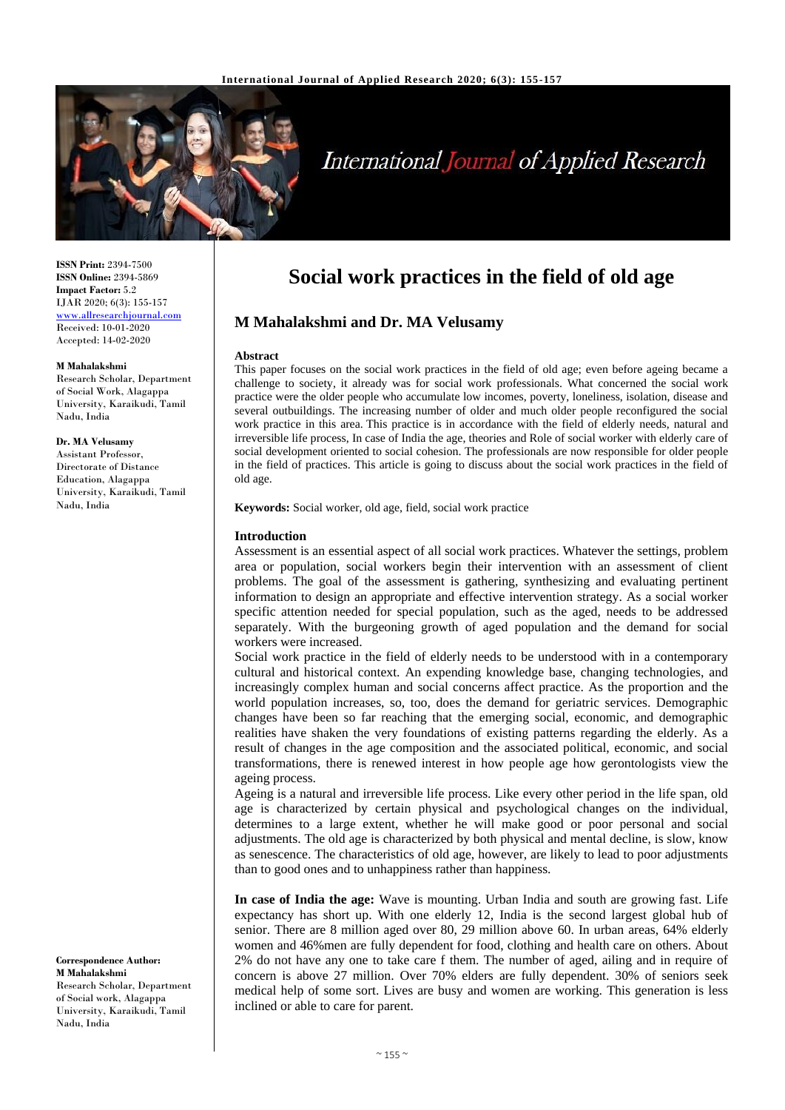

# **International Journal of Applied Research**

**ISSN Print:** 2394-7500 **ISSN Online:** 2394-5869 **Impact Factor:** 5.2 IJAR 2020; 6(3): 155-157 [www.allresearchjournal.com](http://www.allresearchjournal.com/) Received: 10-01-2020 Accepted: 14-02-2020

#### **M Mahalakshmi**

Research Scholar, Department of Social Work, Alagappa University, Karaikudi, Tamil Nadu, India

## **Dr. MA Velusamy**

Assistant Professor, Directorate of Distance Education, Alagappa University, Karaikudi, Tamil Nadu, India

**Correspondence Author: M Mahalakshmi** Research Scholar, Department of Social work, Alagappa University, Karaikudi, Tamil Nadu, India

# **Social work practices in the field of old age**

# **M Mahalakshmi and Dr. MA Velusamy**

#### **Abstract**

This paper focuses on the social work practices in the field of old age; even before ageing became a challenge to society, it already was for social work professionals. What concerned the social work practice were the older people who accumulate low incomes, poverty, loneliness, isolation, disease and several outbuildings. The increasing number of older and much older people reconfigured the social work practice in this area. This practice is in accordance with the field of elderly needs, natural and irreversible life process, In case of India the age, theories and Role of social worker with elderly care of social development oriented to social cohesion. The professionals are now responsible for older people in the field of practices. This article is going to discuss about the social work practices in the field of old age.

**Keywords:** Social worker, old age, field, social work practice

#### **Introduction**

Assessment is an essential aspect of all social work practices. Whatever the settings, problem area or population, social workers begin their intervention with an assessment of client problems. The goal of the assessment is gathering, synthesizing and evaluating pertinent information to design an appropriate and effective intervention strategy. As a social worker specific attention needed for special population, such as the aged, needs to be addressed separately. With the burgeoning growth of aged population and the demand for social workers were increased.

Social work practice in the field of elderly needs to be understood with in a contemporary cultural and historical context. An expending knowledge base, changing technologies, and increasingly complex human and social concerns affect practice. As the proportion and the world population increases, so, too, does the demand for geriatric services. Demographic changes have been so far reaching that the emerging social, economic, and demographic realities have shaken the very foundations of existing patterns regarding the elderly. As a result of changes in the age composition and the associated political, economic, and social transformations, there is renewed interest in how people age how gerontologists view the ageing process.

Ageing is a natural and irreversible life process. Like every other period in the life span, old age is characterized by certain physical and psychological changes on the individual, determines to a large extent, whether he will make good or poor personal and social adjustments. The old age is characterized by both physical and mental decline, is slow, know as senescence. The characteristics of old age, however, are likely to lead to poor adjustments than to good ones and to unhappiness rather than happiness.

**In case of India the age:** Wave is mounting. Urban India and south are growing fast. Life expectancy has short up. With one elderly 12, India is the second largest global hub of senior. There are 8 million aged over 80, 29 million above 60. In urban areas, 64% elderly women and 46%men are fully dependent for food, clothing and health care on others. About 2% do not have any one to take care f them. The number of aged, ailing and in require of concern is above 27 million. Over 70% elders are fully dependent. 30% of seniors seek medical help of some sort. Lives are busy and women are working. This generation is less inclined or able to care for parent.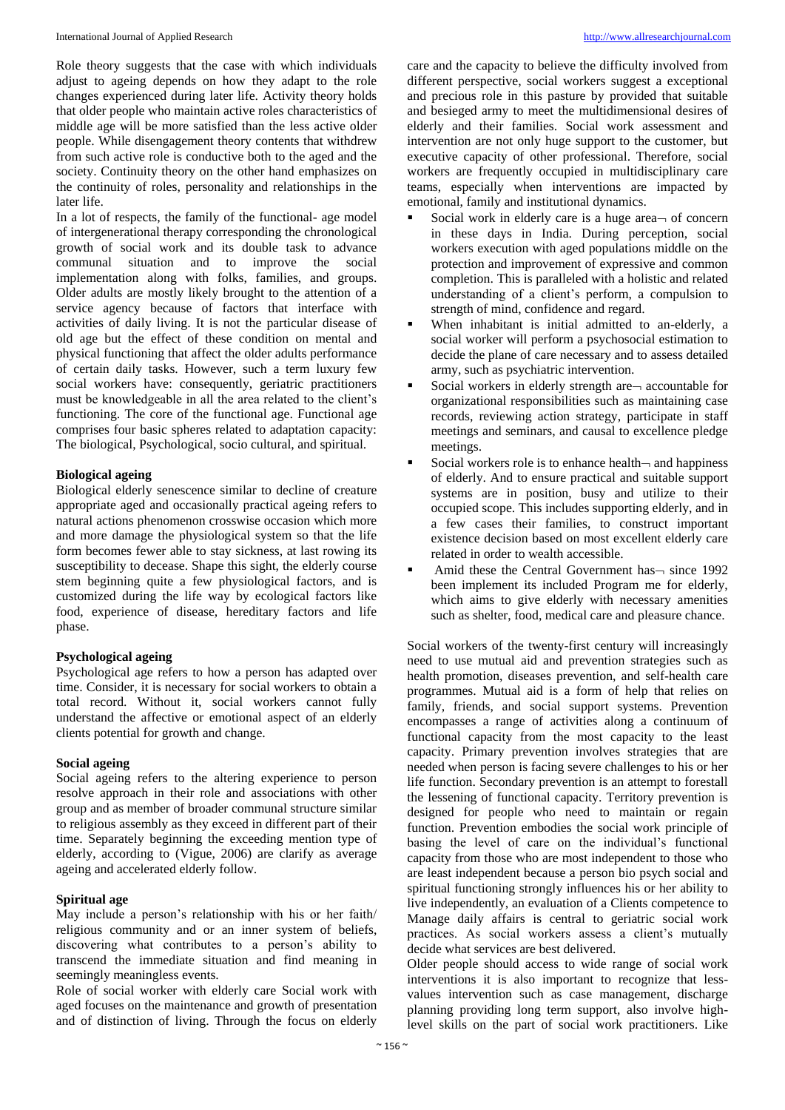Role theory suggests that the case with which individuals adjust to ageing depends on how they adapt to the role changes experienced during later life. Activity theory holds that older people who maintain active roles characteristics of middle age will be more satisfied than the less active older people. While disengagement theory contents that withdrew from such active role is conductive both to the aged and the society. Continuity theory on the other hand emphasizes on the continuity of roles, personality and relationships in the later life.

In a lot of respects, the family of the functional- age model of intergenerational therapy corresponding the chronological growth of social work and its double task to advance communal situation and to improve the social implementation along with folks, families, and groups. Older adults are mostly likely brought to the attention of a service agency because of factors that interface with activities of daily living. It is not the particular disease of old age but the effect of these condition on mental and physical functioning that affect the older adults performance of certain daily tasks. However, such a term luxury few social workers have: consequently, geriatric practitioners must be knowledgeable in all the area related to the client's functioning. The core of the functional age. Functional age comprises four basic spheres related to adaptation capacity: The biological, Psychological, socio cultural, and spiritual.

# **Biological ageing**

Biological elderly senescence similar to decline of creature appropriate aged and occasionally practical ageing refers to natural actions phenomenon crosswise occasion which more and more damage the physiological system so that the life form becomes fewer able to stay sickness, at last rowing its susceptibility to decease. Shape this sight, the elderly course stem beginning quite a few physiological factors, and is customized during the life way by ecological factors like food, experience of disease, hereditary factors and life phase.

# **Psychological ageing**

Psychological age refers to how a person has adapted over time. Consider, it is necessary for social workers to obtain a total record. Without it, social workers cannot fully understand the affective or emotional aspect of an elderly clients potential for growth and change.

### **Social ageing**

Social ageing refers to the altering experience to person resolve approach in their role and associations with other group and as member of broader communal structure similar to religious assembly as they exceed in different part of their time. Separately beginning the exceeding mention type of elderly, according to (Vigue, 2006) are clarify as average ageing and accelerated elderly follow.

# **Spiritual age**

May include a person's relationship with his or her faith/ religious community and or an inner system of beliefs, discovering what contributes to a person's ability to transcend the immediate situation and find meaning in seemingly meaningless events.

Role of social worker with elderly care Social work with aged focuses on the maintenance and growth of presentation and of distinction of living. Through the focus on elderly

care and the capacity to believe the difficulty involved from different perspective, social workers suggest a exceptional and precious role in this pasture by provided that suitable and besieged army to meet the multidimensional desires of elderly and their families. Social work assessment and intervention are not only huge support to the customer, but executive capacity of other professional. Therefore, social workers are frequently occupied in multidisciplinary care teams, especially when interventions are impacted by emotional, family and institutional dynamics.

- Social work in elderly care is a huge area $\rightarrow$  of concern in these days in India. During perception, social workers execution with aged populations middle on the protection and improvement of expressive and common completion. This is paralleled with a holistic and related understanding of a client's perform, a compulsion to strength of mind, confidence and regard.
- When inhabitant is initial admitted to an-elderly, a social worker will perform a psychosocial estimation to decide the plane of care necessary and to assess detailed army, such as psychiatric intervention.
- Social workers in elderly strength are accountable for organizational responsibilities such as maintaining case records, reviewing action strategy, participate in staff meetings and seminars, and causal to excellence pledge meetings.
- Social workers role is to enhance health $\neg$  and happiness of elderly. And to ensure practical and suitable support systems are in position, busy and utilize to their occupied scope. This includes supporting elderly, and in a few cases their families, to construct important existence decision based on most excellent elderly care related in order to wealth accessible.
- Amid these the Central Government has  $-$  since 1992 been implement its included Program me for elderly, which aims to give elderly with necessary amenities such as shelter, food, medical care and pleasure chance.

Social workers of the twenty-first century will increasingly need to use mutual aid and prevention strategies such as health promotion, diseases prevention, and self-health care programmes. Mutual aid is a form of help that relies on family, friends, and social support systems. Prevention encompasses a range of activities along a continuum of functional capacity from the most capacity to the least capacity. Primary prevention involves strategies that are needed when person is facing severe challenges to his or her life function. Secondary prevention is an attempt to forestall the lessening of functional capacity. Territory prevention is designed for people who need to maintain or regain function. Prevention embodies the social work principle of basing the level of care on the individual's functional capacity from those who are most independent to those who are least independent because a person bio psych social and spiritual functioning strongly influences his or her ability to live independently, an evaluation of a Clients competence to Manage daily affairs is central to geriatric social work practices. As social workers assess a client's mutually decide what services are best delivered.

Older people should access to wide range of social work interventions it is also important to recognize that lessvalues intervention such as case management, discharge planning providing long term support, also involve highlevel skills on the part of social work practitioners. Like